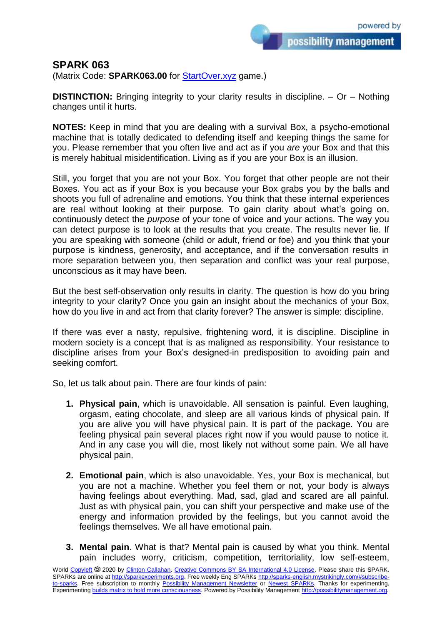possibility management

## **SPARK 063**

(Matrix Code: **SPARK063.00** for [StartOver.xyz](https://startoverxyz.mystrikingly.com/) game.)

**DISTINCTION:** Bringing integrity to your clarity results in discipline. – Or – Nothing changes until it hurts.

**NOTES:** Keep in mind that you are dealing with a survival Box, a psycho-emotional machine that is totally dedicated to defending itself and keeping things the same for you. Please remember that you often live and act as if you *are* your Box and that this is merely habitual misidentification. Living as if you are your Box is an illusion.

Still, you forget that you are not your Box. You forget that other people are not their Boxes. You act as if your Box is you because your Box grabs you by the balls and shoots you full of adrenaline and emotions. You think that these internal experiences are real without looking at their purpose. To gain clarity about what's going on, continuously detect the *purpose* of your tone of voice and your actions. The way you can detect purpose is to look at the results that you create. The results never lie. If you are speaking with someone (child or adult, friend or foe) and you think that your purpose is kindness, generosity, and acceptance, and if the conversation results in more separation between you, then separation and conflict was your real purpose, unconscious as it may have been.

But the best self-observation only results in clarity. The question is how do you bring integrity to your clarity? Once you gain an insight about the mechanics of your Box, how do you live in and act from that clarity forever? The answer is simple: discipline.

If there was ever a nasty, repulsive, frightening word, it is discipline. Discipline in modern society is a concept that is as maligned as responsibility. Your resistance to discipline arises from your Box's designed-in predisposition to avoiding pain and seeking comfort.

So, let us talk about pain. There are four kinds of pain:

- **1. Physical pain**, which is unavoidable. All sensation is painful. Even laughing, orgasm, eating chocolate, and sleep are all various kinds of physical pain. If you are alive you will have physical pain. It is part of the package. You are feeling physical pain several places right now if you would pause to notice it. And in any case you will die, most likely not without some pain. We all have physical pain.
- **2. Emotional pain**, which is also unavoidable. Yes, your Box is mechanical, but you are not a machine. Whether you feel them or not, your body is always having feelings about everything. Mad, sad, glad and scared are all painful. Just as with physical pain, you can shift your perspective and make use of the energy and information provided by the feelings, but you cannot avoid the feelings themselves. We all have emotional pain.
- **3. Mental pain**. What is that? Mental pain is caused by what you think. Mental pain includes worry, criticism, competition, territoriality, low self-esteem,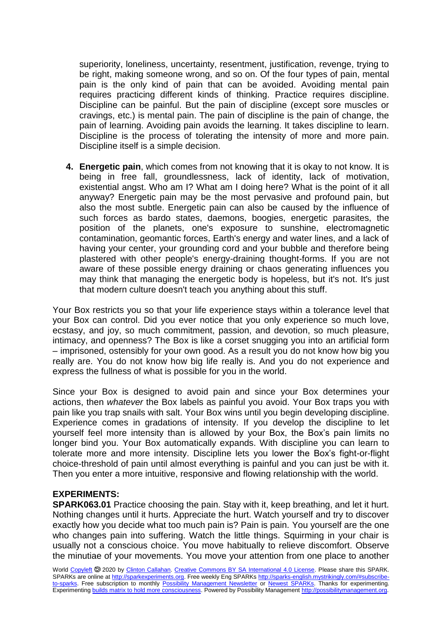superiority, loneliness, uncertainty, resentment, justification, revenge, trying to be right, making someone wrong, and so on. Of the four types of pain, mental pain is the only kind of pain that can be avoided. Avoiding mental pain requires practicing different kinds of thinking. Practice requires discipline. Discipline can be painful. But the pain of discipline (except sore muscles or cravings, etc.) is mental pain. The pain of discipline is the pain of change, the pain of learning. Avoiding pain avoids the learning. It takes discipline to learn. Discipline is the process of tolerating the intensity of more and more pain. Discipline itself is a simple decision.

**4. Energetic pain**, which comes from not knowing that it is okay to not know. It is being in free fall, groundlessness, lack of identity, lack of motivation, existential angst. Who am I? What am I doing here? What is the point of it all anyway? Energetic pain may be the most pervasive and profound pain, but also the most subtle. Energetic pain can also be caused by the influence of such forces as bardo states, daemons, boogies, energetic parasites, the position of the planets, one's exposure to sunshine, electromagnetic contamination, geomantic forces, Earth's energy and water lines, and a lack of having your center, your grounding cord and your bubble and therefore being plastered with other people's energy-draining thought-forms. If you are not aware of these possible energy draining or chaos generating influences you may think that managing the energetic body is hopeless, but it's not. It's just that modern culture doesn't teach you anything about this stuff.

Your Box restricts you so that your life experience stays within a tolerance level that your Box can control. Did you ever notice that you only experience so much love, ecstasy, and joy, so much commitment, passion, and devotion, so much pleasure, intimacy, and openness? The Box is like a corset snugging you into an artificial form – imprisoned, ostensibly for your own good. As a result you do not know how big you really are. You do not know how big life really is. And you do not experience and express the fullness of what is possible for you in the world.

Since your Box is designed to avoid pain and since your Box determines your actions, then *whatever* the Box labels as painful you avoid. Your Box traps you with pain like you trap snails with salt. Your Box wins until you begin developing discipline. Experience comes in gradations of intensity. If you develop the discipline to let yourself feel more intensity than is allowed by your Box, the Box's pain limits no longer bind you. Your Box automatically expands. With discipline you can learn to tolerate more and more intensity. Discipline lets you lower the Box's fight-or-flight choice-threshold of pain until almost everything is painful and you can just be with it. Then you enter a more intuitive, responsive and flowing relationship with the world.

## **EXPERIMENTS:**

**SPARK063.01** Practice choosing the pain. Stay with it, keep breathing, and let it hurt. Nothing changes until it hurts. Appreciate the hurt. Watch yourself and try to discover exactly how you decide what too much pain is? Pain is pain. You yourself are the one who changes pain into suffering. Watch the little things. Squirming in your chair is usually not a conscious choice. You move habitually to relieve discomfort. Observe the minutiae of your movements. You move your attention from one place to another